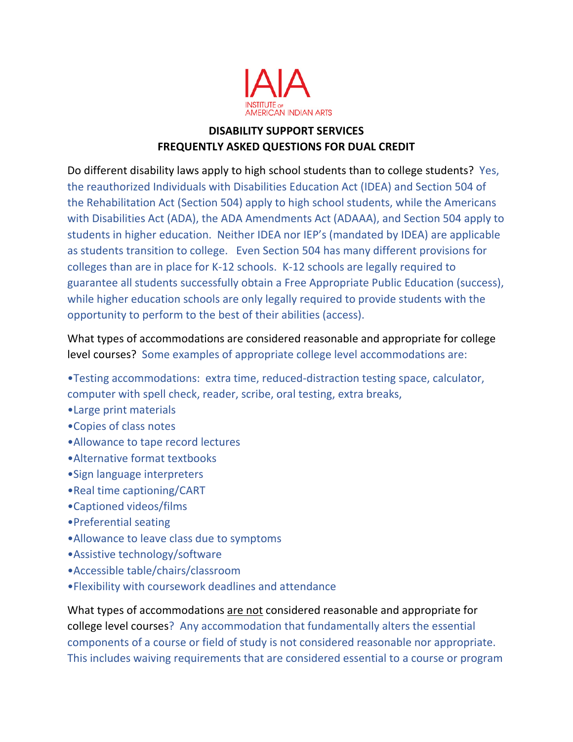

## **DISABILITY SUPPORT SERVICES FREQUENTLY ASKED QUESTIONS FOR DUAL CREDIT**

Do different disability laws apply to high school students than to college students? Yes, the reauthorized Individuals with Disabilities Education Act (IDEA) and Section 504 of the Rehabilitation Act (Section 504) apply to high school students, while the Americans with Disabilities Act (ADA), the ADA Amendments Act (ADAAA), and Section 504 apply to students in higher education. Neither IDEA nor IEP's (mandated by IDEA) are applicable as students transition to college. Even Section 504 has many different provisions for colleges than are in place for K-12 schools. K-12 schools are legally required to guarantee all students successfully obtain a Free Appropriate Public Education (success), while higher education schools are only legally required to provide students with the opportunity to perform to the best of their abilities (access).

What types of accommodations are considered reasonable and appropriate for college level courses? Some examples of appropriate college level accommodations are:

- •Testing accommodations: extra time, reduced-distraction testing space, calculator, computer with spell check, reader, scribe, oral testing, extra breaks,
- •Large print materials
- •Copies of class notes
- •Allowance to tape record lectures
- •Alternative format textbooks
- •Sign language interpreters
- •Real time captioning/CART
- •Captioned videos/films
- •Preferential seating
- •Allowance to leave class due to symptoms
- •Assistive technology/software
- •Accessible table/chairs/classroom
- •Flexibility with coursework deadlines and attendance

What types of accommodations are not considered reasonable and appropriate for college level courses? Any accommodation that fundamentally alters the essential components of a course or field of study is not considered reasonable nor appropriate. This includes waiving requirements that are considered essential to a course or program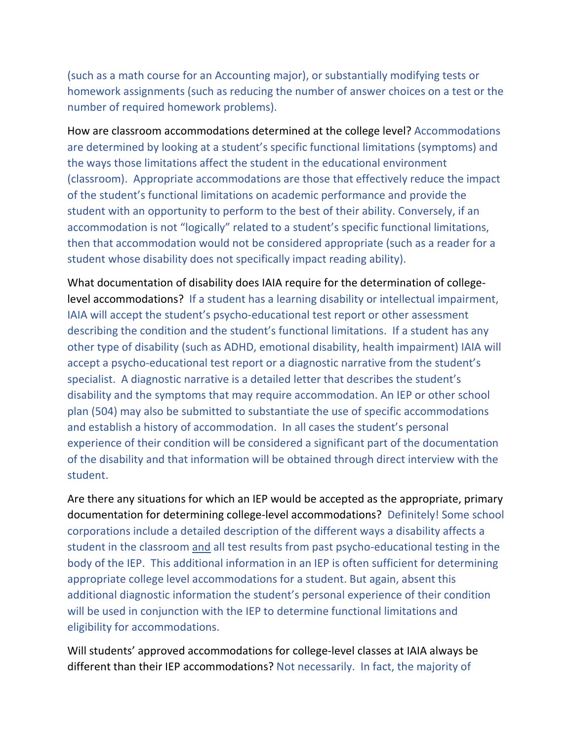(such as a math course for an Accounting major), or substantially modifying tests or homework assignments (such as reducing the number of answer choices on a test or the number of required homework problems).

How are classroom accommodations determined at the college level? Accommodations are determined by looking at a student's specific functional limitations (symptoms) and the ways those limitations affect the student in the educational environment (classroom). Appropriate accommodations are those that effectively reduce the impact of the student's functional limitations on academic performance and provide the student with an opportunity to perform to the best of their ability. Conversely, if an accommodation is not "logically" related to a student's specific functional limitations, then that accommodation would not be considered appropriate (such as a reader for a student whose disability does not specifically impact reading ability).

What documentation of disability does IAIA require for the determination of collegelevel accommodations? If a student has a learning disability or intellectual impairment, IAIA will accept the student's psycho-educational test report or other assessment describing the condition and the student's functional limitations. If a student has any other type of disability (such as ADHD, emotional disability, health impairment) IAIA will accept a psycho-educational test report or a diagnostic narrative from the student's specialist. A diagnostic narrative is a detailed letter that describes the student's disability and the symptoms that may require accommodation. An IEP or other school plan (504) may also be submitted to substantiate the use of specific accommodations and establish a history of accommodation. In all cases the student's personal experience of their condition will be considered a significant part of the documentation of the disability and that information will be obtained through direct interview with the student.

Are there any situations for which an IEP would be accepted as the appropriate, primary documentation for determining college-level accommodations? Definitely! Some school corporations include a detailed description of the different ways a disability affects a student in the classroom and all test results from past psycho-educational testing in the body of the IEP. This additional information in an IEP is often sufficient for determining appropriate college level accommodations for a student. But again, absent this additional diagnostic information the student's personal experience of their condition will be used in conjunction with the IEP to determine functional limitations and eligibility for accommodations.

Will students' approved accommodations for college-level classes at IAIA always be different than their IEP accommodations? Not necessarily. In fact, the majority of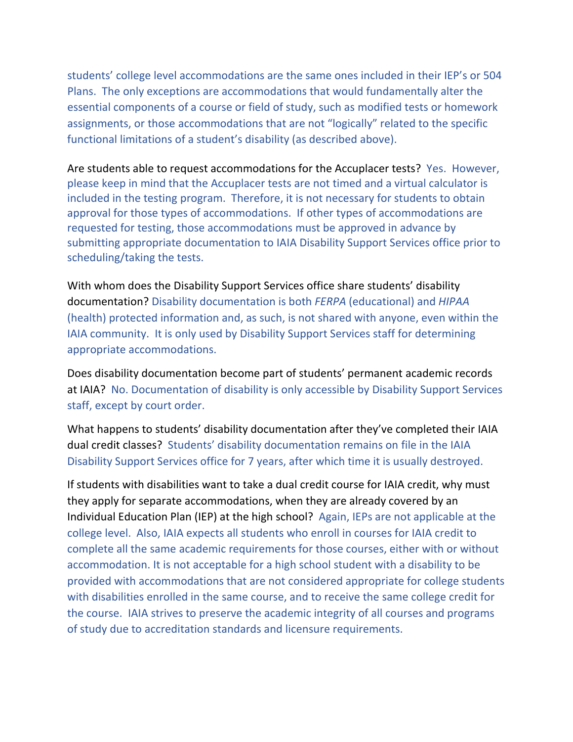students' college level accommodations are the same ones included in their IEP's or 504 Plans. The only exceptions are accommodations that would fundamentally alter the essential components of a course or field of study, such as modified tests or homework assignments, or those accommodations that are not "logically" related to the specific functional limitations of a student's disability (as described above).

Are students able to request accommodations for the Accuplacer tests? Yes. However, please keep in mind that the Accuplacer tests are not timed and a virtual calculator is included in the testing program. Therefore, it is not necessary for students to obtain approval for those types of accommodations. If other types of accommodations are requested for testing, those accommodations must be approved in advance by submitting appropriate documentation to IAIA Disability Support Services office prior to scheduling/taking the tests.

With whom does the Disability Support Services office share students' disability documentation? Disability documentation is both *FERPA* (educational) and *HIPAA* (health) protected information and, as such, is not shared with anyone, even within the IAIA community. It is only used by Disability Support Services staff for determining appropriate accommodations.

Does disability documentation become part of students' permanent academic records at IAIA? No. Documentation of disability is only accessible by Disability Support Services staff, except by court order.

What happens to students' disability documentation after they've completed their IAIA dual credit classes? Students' disability documentation remains on file in the IAIA Disability Support Services office for 7 years, after which time it is usually destroyed.

If students with disabilities want to take a dual credit course for IAIA credit, why must they apply for separate accommodations, when they are already covered by an Individual Education Plan (IEP) at the high school? Again, IEPs are not applicable at the college level. Also, IAIA expects all students who enroll in courses for IAIA credit to complete all the same academic requirements for those courses, either with or without accommodation. It is not acceptable for a high school student with a disability to be provided with accommodations that are not considered appropriate for college students with disabilities enrolled in the same course, and to receive the same college credit for the course. IAIA strives to preserve the academic integrity of all courses and programs of study due to accreditation standards and licensure requirements.